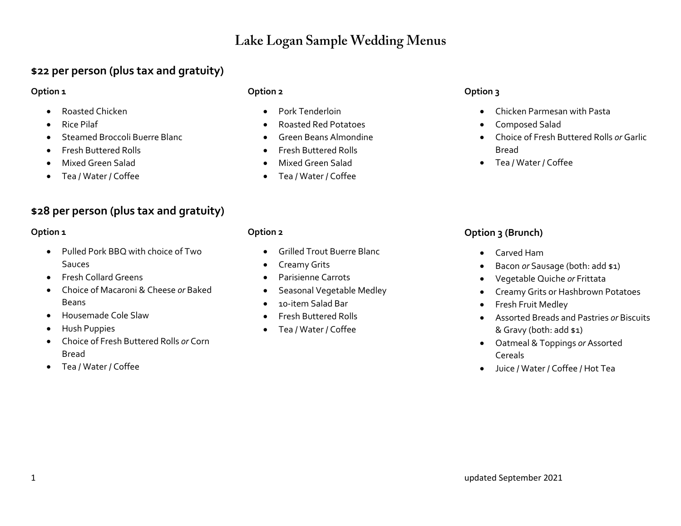## Lake Logan Sample Wedding Menus

## **\$22 per person (plus tax and gratuity)**

## **Option 1**

- Roasted Chicken
- Rice Pilaf
- Steamed Broccoli Buerre Blanc
- Fresh Buttered Rolls
- Mixed Green Salad
- Tea / Water / Coffee

## **\$28 per person (plus tax and gratuity)**

## **Option 1**

- Pulled Pork BBQ with choice of Two **Sauces**
- Fresh Collard Greens
- Choice of Macaroni & Cheese *or* Baked Beans
- Housemade Cole Slaw
- Hush Puppies
- Choice of Fresh Buttered Rolls *or* Corn Bread
- Tea / Water / Coffee

## **Option 2**

**Option 2**

- Pork Tenderloin
- Roasted Red Potatoes
- Green Beans Almondine

• Grilled Trout Buerre Blanc

• Seasonal Vegetable Medley

• Creamy Grits • Parisienne Carrots

• 10-item Salad Bar • Fresh Buttered Rolls • Tea / Water / Coffee

- Fresh Buttered Rolls
- Mixed Green Salad
- Tea / Water / Coffee

## **Option 3**

- Chicken Parmesan with Pasta
- Composed Salad
- Choice of Fresh Buttered Rolls *or* Garlic Bread
- Tea / Water / Coffee

## **Option 3 (Brunch)**

- Carved Ham
- Bacon *or* Sausage (both: add \$1)
- Vegetable Quiche *or* Frittata
- Creamy Grits or Hashbrown Potatoes
- Fresh Fruit Medley
- Assorted Breads and Pastries *or* Biscuits & Gravy (both: add \$1)
- Oatmeal & Toppings *or* Assorted Cereals
- Juice / Water / Coffee / Hot Tea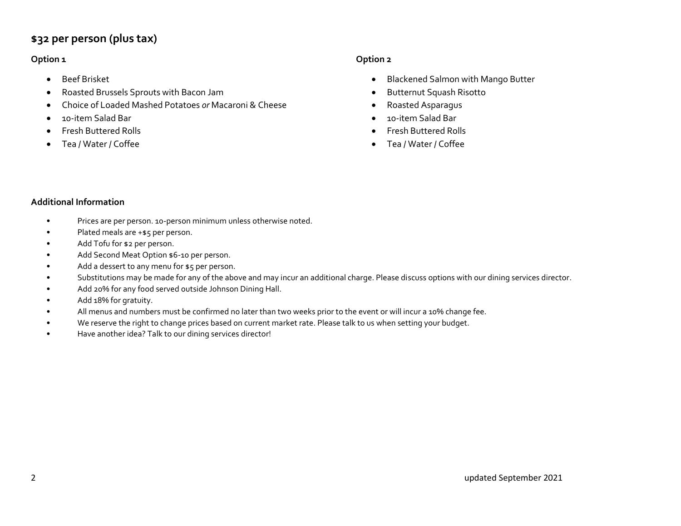## **\$32 per person (plus tax)**

### **Option 1**

- Beef Brisket
- Roasted Brussels Sprouts with Bacon Jam
- Choice of Loaded Mashed Potatoes *or* Macaroni & Cheese
- 10-item Salad Bar
- Fresh Buttered Rolls
- Tea / Water / Coffee

### **Option 2**

- Blackened Salmon with Mango Butter
- Butternut Squash Risotto
- Roasted Asparagus
- 10-item Salad Bar
- Fresh Buttered Rolls
- Tea / Water / Coffee

#### **Additional Information**

- Prices are per person. 10-person minimum unless otherwise noted.
- Plated meals are +\$5 per person.
- Add Tofu for \$2 per person.
- Add Second Meat Option \$6-10 per person.
- Add a dessert to any menu for \$5 per person.
- Substitutions may be made for any of the above and may incur an additional charge. Please discuss options with our dining services director.
- Add 20% for any food served outside Johnson Dining Hall.
- Add 18% for gratuity.
- All menus and numbers must be confirmed no later than two weeks prior to the event or will incur a 10% change fee.
- We reserve the right to change prices based on current market rate. Please talk to us when setting your budget.
- Have another idea? Talk to our dining services director!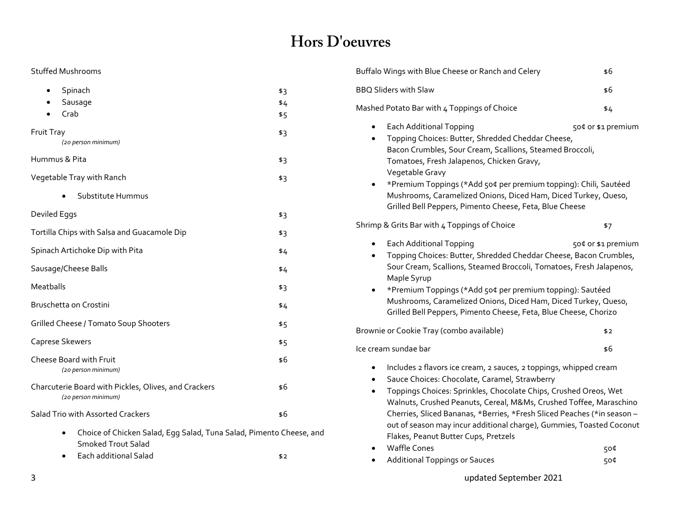# Hors D'oeuvres

### Stuffed Mushrooms

| Spinach                                                                                   | \$3 |
|-------------------------------------------------------------------------------------------|-----|
| Sausage                                                                                   | \$4 |
| Crab                                                                                      | \$5 |
| Fruit Tray<br>(20 person minimum)                                                         | \$3 |
| Hummus & Pita                                                                             | \$3 |
| Vegetable Tray with Ranch                                                                 | \$3 |
| Substitute Hummus                                                                         |     |
| Deviled Eggs                                                                              | \$3 |
| Tortilla Chips with Salsa and Guacamole Dip                                               | \$3 |
| Spinach Artichoke Dip with Pita                                                           | \$4 |
| Sausage/Cheese Balls                                                                      | \$4 |
| Meatballs                                                                                 | \$3 |
| Bruschetta on Crostini                                                                    | \$4 |
| Grilled Cheese / Tomato Soup Shooters                                                     | \$5 |
| Caprese Skewers                                                                           | \$5 |
| Cheese Board with Fruit<br>(20 person minimum)                                            | \$6 |
| Charcuterie Board with Pickles, Olives, and Crackers<br>(20 person minimum)               | \$6 |
| Salad Trio with Assorted Crackers                                                         | \$6 |
| Choice of Chicken Salad, Egg Salad, Tuna Salad, Pimento Cheese, and<br>Smoked Trout Salad |     |

• Each additional Salad \$2

| Buffalo Wings with Blue Cheese or Ranch and Celery                                                                                                                                                                                                                                                                                                                                                                                                                                          | \$6                |
|---------------------------------------------------------------------------------------------------------------------------------------------------------------------------------------------------------------------------------------------------------------------------------------------------------------------------------------------------------------------------------------------------------------------------------------------------------------------------------------------|--------------------|
| <b>BBQ Sliders with Slaw</b>                                                                                                                                                                                                                                                                                                                                                                                                                                                                | \$6                |
| Mashed Potato Bar with 4 Toppings of Choice                                                                                                                                                                                                                                                                                                                                                                                                                                                 | \$4                |
| <b>Each Additional Topping</b><br>Topping Choices: Butter, Shredded Cheddar Cheese,<br>Bacon Crumbles, Sour Cream, Scallions, Steamed Broccoli,<br>Tomatoes, Fresh Jalapenos, Chicken Gravy,<br>Vegetable Gravy<br>*Premium Toppings (*Add 504 per premium topping): Chili, Sautéed<br>Mushrooms, Caramelized Onions, Diced Ham, Diced Turkey, Queso,<br>Grilled Bell Peppers, Pimento Cheese, Feta, Blue Cheese                                                                            | 50¢ or \$1 premium |
| Shrimp & Grits Bar with 4 Toppings of Choice                                                                                                                                                                                                                                                                                                                                                                                                                                                | \$7                |
| <b>Each Additional Topping</b><br>$\bullet$<br>Topping Choices: Butter, Shredded Cheddar Cheese, Bacon Crumbles,<br>Sour Cream, Scallions, Steamed Broccoli, Tomatoes, Fresh Jalapenos,<br>Maple Syrup<br>*Premium Toppings (*Add 504 per premium topping): Sautéed<br>Mushrooms, Caramelized Onions, Diced Ham, Diced Turkey, Queso,<br>Grilled Bell Peppers, Pimento Cheese, Feta, Blue Cheese, Chorizo                                                                                   | 50¢ or \$1 premium |
| Brownie or Cookie Tray (combo available)                                                                                                                                                                                                                                                                                                                                                                                                                                                    | \$2                |
| lce cream sundae bar                                                                                                                                                                                                                                                                                                                                                                                                                                                                        | \$6                |
| Includes 2 flavors ice cream, 2 sauces, 2 toppings, whipped cream<br>$\bullet$<br>Sauce Choices: Chocolate, Caramel, Strawberry<br>Toppings Choices: Sprinkles, Chocolate Chips, Crushed Oreos, Wet<br>Walnuts, Crushed Peanuts, Cereal, M&Ms, Crushed Toffee, Maraschino<br>Cherries, Sliced Bananas, *Berries, *Fresh Sliced Peaches (*in season -<br>out of season may incur additional charge), Gummies, Toasted Coconut<br>Flakes, Peanut Butter Cups, Pretzels<br><b>Waffle Cones</b> | 50¢                |

- Additional Toppings or Sauces 600 million states 500 million states 500 million states 500 million states 500 million states 500 million states 500 million states 500 million states 500 million states 500 million states
- 3 updated September 2021